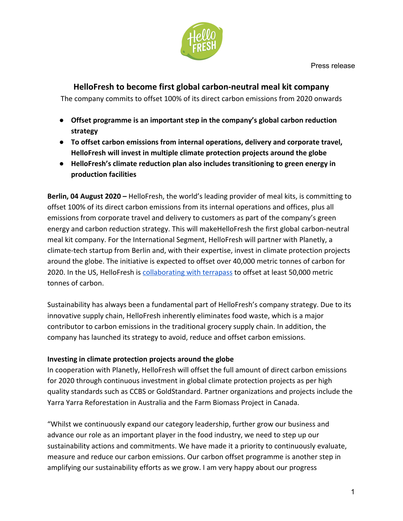

## **HelloFresh to become first global carbon-neutral meal kit company**

The company commits to offset 100% of its direct carbon emissions from 2020 onwards

- **● Offset programme is an important step in the company's global carbon reduction strategy**
- **● To offset carbon emissions from internal operations, delivery and corporate travel, HelloFresh will invest in multiple climate protection projects around the globe**
- **● HelloFresh's climate reduction plan also includes transitioning to green energy in production facilities**

**Berlin, 04 August 2020 –** HelloFresh, the world's leading provider of meal kits, is committing to offset 100% of its direct carbon emissions from its internal operations and offices, plus all emissions from corporate travel and delivery to customers as part of the company's green energy and carbon reduction strategy. This will makeHelloFresh the first global carbon-neutral meal kit company. For the International Segment, HelloFresh will partner with Planetly, a climate-tech startup from Berlin and, with their expertise, invest in climate protection projects around the globe. The initiative is expected to offset over 40,000 metric tonnes of carbon for 2020. In the US, HelloFresh is [collaborating with terrapass](https://cdn.hellofresh.com/au/cms/Press_NEW/HelloFresh_Carbon_Offset.pdf) to offset at least 50,000 metric tonnes of carbon.

Sustainability has always been a fundamental part of HelloFresh's company strategy. Due to its innovative supply chain, HelloFresh inherently eliminates food waste, which is a major contributor to carbon emissions in the traditional grocery supply chain. In addition, the company has launched its strategy to avoid, reduce and offset carbon emissions.

## **Investing in climate protection projects around the globe**

In cooperation with Planetly, HelloFresh will offset the full amount of direct carbon emissions for 2020 through continuous investment in global climate protection projects as per high quality standards such as CCBS or GoldStandard. Partner organizations and projects include the Yarra Yarra Reforestation in Australia and the Farm Biomass Project in Canada.

"Whilst we continuously expand our category leadership, further grow our business and advance our role as an important player in the food industry, we need to step up our sustainability actions and commitments. We have made it a priority to continuously evaluate, measure and reduce our carbon emissions. Our carbon offset programme is another step in amplifying our sustainability efforts as we grow. I am very happy about our progress